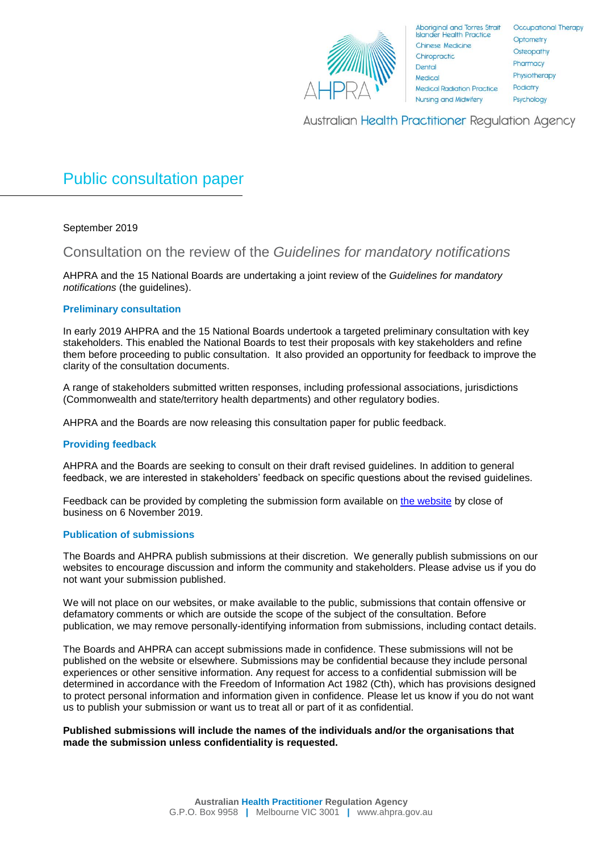

**Aboriginal and Torres Strait Islander Health Practice Chinese Medicine** Chiropractic Dental Medical **Medical Radiation Practice Nursing and Midwifery** 

Occupational Therapy Optometry Osteopathy Pharmacy Physiotherapy Podiatry Psychology

Australian Health Practitioner Regulation Agency

# Public consultation paper

September 2019

## Consultation on the review of the *Guidelines for mandatory notifications*

AHPRA and the 15 National Boards are undertaking a joint review of the *Guidelines for mandatory notifications* (the guidelines).

## **Preliminary consultation**

In early 2019 AHPRA and the 15 National Boards undertook a targeted preliminary consultation with key stakeholders. This enabled the National Boards to test their proposals with key stakeholders and refine them before proceeding to public consultation. It also provided an opportunity for feedback to improve the clarity of the consultation documents.

A range of stakeholders submitted written responses, including professional associations, jurisdictions (Commonwealth and state/territory health departments) and other regulatory bodies.

AHPRA and the Boards are now releasing this consultation paper for public feedback.

## **Providing feedback**

AHPRA and the Boards are seeking to consult on their draft revised guidelines. In addition to general feedback, we are interested in stakeholders' feedback on specific questions about the revised guidelines.

Feedback can be provided by completing the submission form available on [the website](https://www.ahpra.gov.au/News/Consultations.aspx) by close of business on 6 November 2019.

## **Publication of submissions**

The Boards and AHPRA publish submissions at their discretion. We generally publish submissions on our websites to encourage discussion and inform the community and stakeholders. Please advise us if you do not want your submission published.

We will not place on our websites, or make available to the public, submissions that contain offensive or defamatory comments or which are outside the scope of the subject of the consultation. Before publication, we may remove personally-identifying information from submissions, including contact details.

The Boards and AHPRA can accept submissions made in confidence. These submissions will not be published on the website or elsewhere. Submissions may be confidential because they include personal experiences or other sensitive information. Any request for access to a confidential submission will be determined in accordance with the Freedom of Information Act 1982 (Cth), which has provisions designed to protect personal information and information given in confidence. Please let us know if you do not want us to publish your submission or want us to treat all or part of it as confidential.

## **Published submissions will include the names of the individuals and/or the organisations that made the submission unless confidentiality is requested.**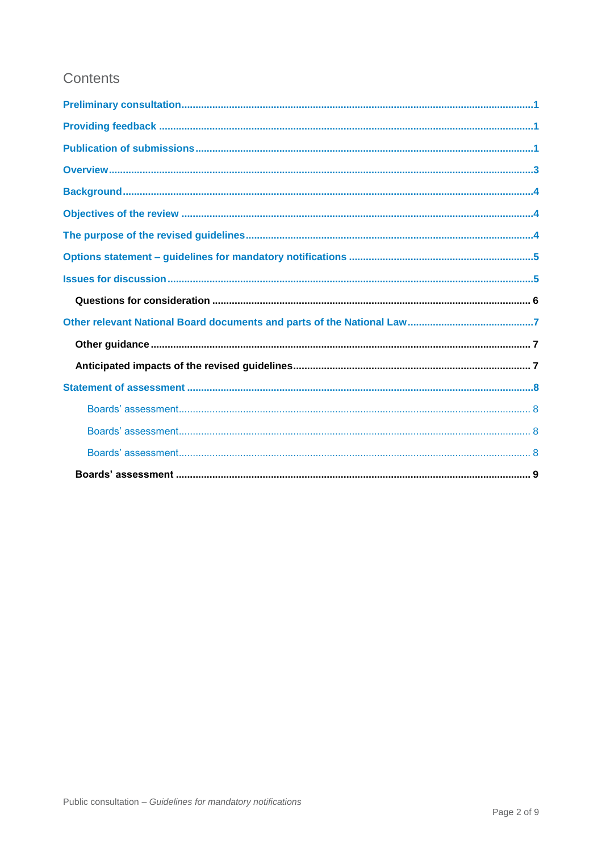## Contents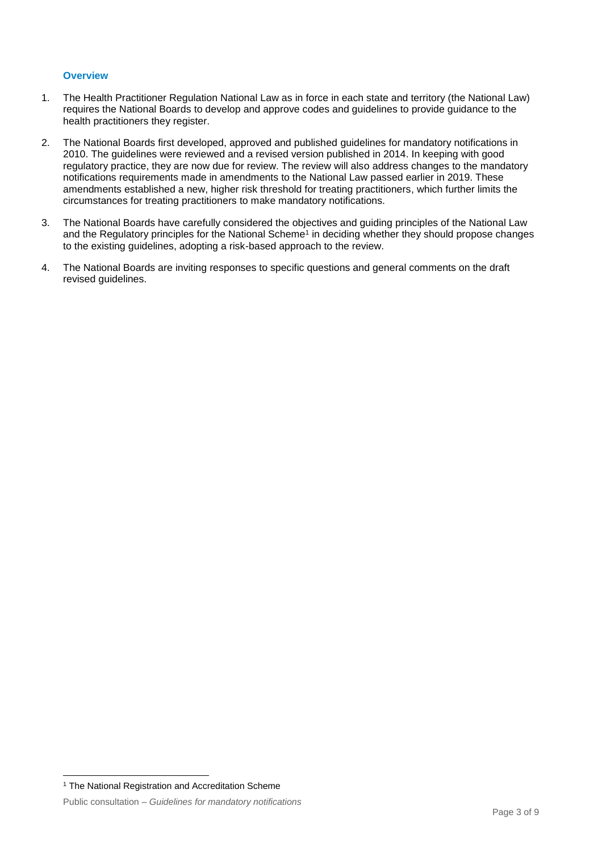## **Overview**

- 1. The Health Practitioner Regulation National Law as in force in each state and territory (the National Law) requires the National Boards to develop and approve codes and guidelines to provide guidance to the health practitioners they register.
- 2. The National Boards first developed, approved and published guidelines for mandatory notifications in 2010. The guidelines were reviewed and a revised version published in 2014. In keeping with good regulatory practice, they are now due for review. The review will also address changes to the mandatory notifications requirements made in amendments to the National Law passed earlier in 2019. These amendments established a new, higher risk threshold for treating practitioners, which further limits the circumstances for treating practitioners to make mandatory notifications.
- 3. The National Boards have carefully considered the objectives and guiding principles of the National Law and the Regulatory principles for the National Scheme<sup>1</sup> in deciding whether they should propose changes to the existing guidelines, adopting a risk-based approach to the review.
- 4. The National Boards are inviting responses to specific questions and general comments on the draft revised guidelines.

l <sup>1</sup> The National Registration and Accreditation Scheme

Public consultation – *Guidelines for mandatory notifications*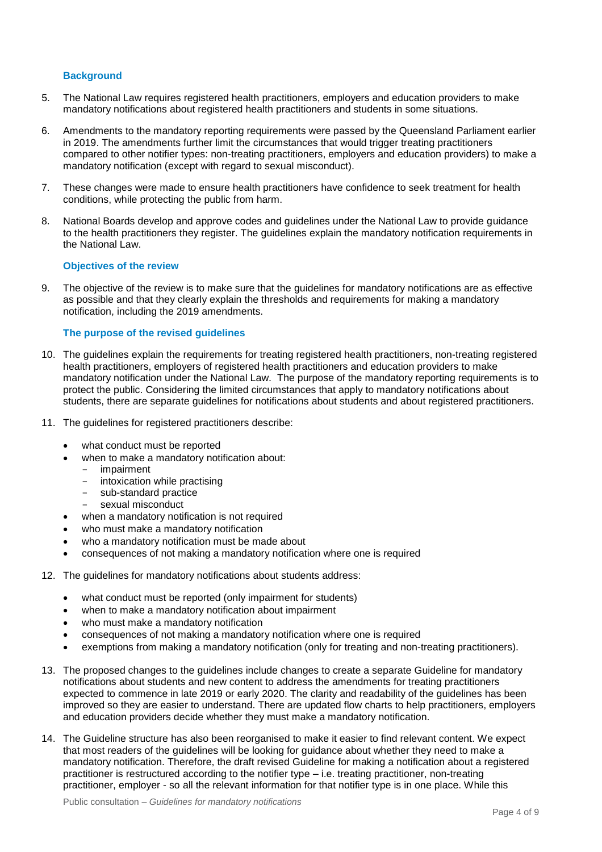## **Background**

- 5. The National Law requires registered health practitioners, employers and education providers to make mandatory notifications about registered health practitioners and students in some situations.
- 6. Amendments to the mandatory reporting requirements were passed by the Queensland Parliament earlier in 2019. The amendments further limit the circumstances that would trigger treating practitioners compared to other notifier types: non-treating practitioners, employers and education providers) to make a mandatory notification (except with regard to sexual misconduct).
- 7. These changes were made to ensure health practitioners have confidence to seek treatment for health conditions, while protecting the public from harm.
- 8. National Boards develop and approve codes and guidelines under the National Law to provide guidance to the health practitioners they register. The guidelines explain the mandatory notification requirements in the National Law.

#### **Objectives of the review**

9. The objective of the review is to make sure that the guidelines for mandatory notifications are as effective as possible and that they clearly explain the thresholds and requirements for making a mandatory notification, including the 2019 amendments.

## **The purpose of the revised guidelines**

- 10. The guidelines explain the requirements for treating registered health practitioners, non-treating registered health practitioners, employers of registered health practitioners and education providers to make mandatory notification under the National Law. The purpose of the mandatory reporting requirements is to protect the public. Considering the limited circumstances that apply to mandatory notifications about students, there are separate guidelines for notifications about students and about registered practitioners.
- 11. The guidelines for registered practitioners describe:
	- what conduct must be reported
		- when to make a mandatory notification about:
		- impairment
		- intoxication while practising
		- sub-standard practice
		- sexual misconduct
	- when a mandatory notification is not required
	- who must make a mandatory notification
	- who a mandatory notification must be made about
	- consequences of not making a mandatory notification where one is required
- 12. The guidelines for mandatory notifications about students address:
	- what conduct must be reported (only impairment for students)
	- when to make a mandatory notification about impairment
	- who must make a mandatory notification
	- consequences of not making a mandatory notification where one is required
	- exemptions from making a mandatory notification (only for treating and non-treating practitioners).
- 13. The proposed changes to the guidelines include changes to create a separate Guideline for mandatory notifications about students and new content to address the amendments for treating practitioners expected to commence in late 2019 or early 2020. The clarity and readability of the guidelines has been improved so they are easier to understand. There are updated flow charts to help practitioners, employers and education providers decide whether they must make a mandatory notification.
- 14. The Guideline structure has also been reorganised to make it easier to find relevant content. We expect that most readers of the guidelines will be looking for guidance about whether they need to make a mandatory notification. Therefore, the draft revised Guideline for making a notification about a registered practitioner is restructured according to the notifier type – i.e. treating practitioner, non-treating practitioner, employer - so all the relevant information for that notifier type is in one place. While this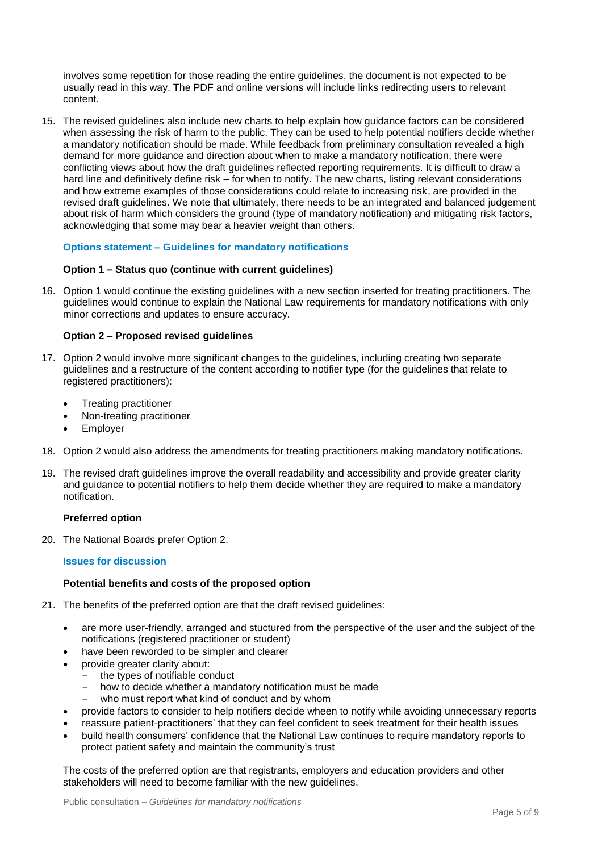involves some repetition for those reading the entire guidelines, the document is not expected to be usually read in this way. The PDF and online versions will include links redirecting users to relevant content.

15. The revised guidelines also include new charts to help explain how guidance factors can be considered when assessing the risk of harm to the public. They can be used to help potential notifiers decide whether a mandatory notification should be made. While feedback from preliminary consultation revealed a high demand for more guidance and direction about when to make a mandatory notification, there were conflicting views about how the draft guidelines reflected reporting requirements. It is difficult to draw a hard line and definitively define risk – for when to notify. The new charts, listing relevant considerations and how extreme examples of those considerations could relate to increasing risk, are provided in the revised draft guidelines. We note that ultimately, there needs to be an integrated and balanced judgement about risk of harm which considers the ground (type of mandatory notification) and mitigating risk factors, acknowledging that some may bear a heavier weight than others.

## **Options statement – Guidelines for mandatory notifications**

## **Option 1 – Status quo (continue with current guidelines)**

16. Option 1 would continue the existing guidelines with a new section inserted for treating practitioners. The guidelines would continue to explain the National Law requirements for mandatory notifications with only minor corrections and updates to ensure accuracy.

## **Option 2 – Proposed revised guidelines**

- 17. Option 2 would involve more significant changes to the guidelines, including creating two separate guidelines and a restructure of the content according to notifier type (for the guidelines that relate to registered practitioners):
	- Treating practitioner
	- Non-treating practitioner
	- **Employer**
- 18. Option 2 would also address the amendments for treating practitioners making mandatory notifications.
- 19. The revised draft guidelines improve the overall readability and accessibility and provide greater clarity and guidance to potential notifiers to help them decide whether they are required to make a mandatory notification.

#### **Preferred option**

20. The National Boards prefer Option 2.

#### **Issues for discussion**

## **Potential benefits and costs of the proposed option**

- 21. The benefits of the preferred option are that the draft revised guidelines:
	- are more user-friendly, arranged and stuctured from the perspective of the user and the subject of the notifications (registered practitioner or student)
	- have been reworded to be simpler and clearer
	- provide greater clarity about:
		- the types of notifiable conduct
		- how to decide whether a mandatory notification must be made
		- who must report what kind of conduct and by whom
	- provide factors to consider to help notifiers decide wheen to notify while avoiding unnecessary reports
	- reassure patient-practitioners' that they can feel confident to seek treatment for their health issues
	- build health consumers' confidence that the National Law continues to require mandatory reports to protect patient safety and maintain the community's trust

The costs of the preferred option are that registrants, employers and education providers and other stakeholders will need to become familiar with the new guidelines.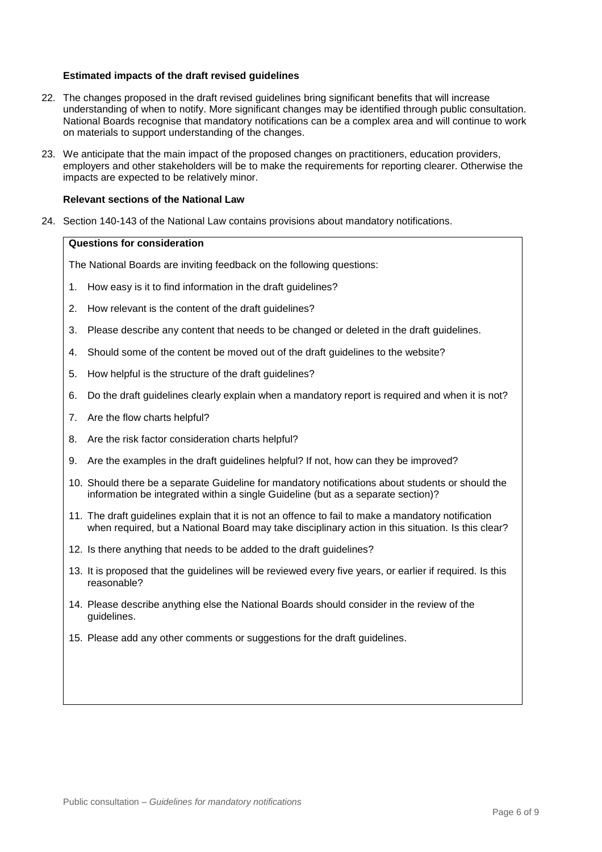## **Estimated impacts of the draft revised guidelines**

- 22. The changes proposed in the draft revised guidelines bring significant benefits that will increase understanding of when to notify. More significant changes may be identified through public consultation. National Boards recognise that mandatory notifications can be a complex area and will continue to work on materials to support understanding of the changes.
- 23. We anticipate that the main impact of the proposed changes on practitioners, education providers, employers and other stakeholders will be to make the requirements for reporting clearer. Otherwise the impacts are expected to be relatively minor.

## **Relevant sections of the National Law**

24. Section 140-143 of the National Law contains provisions about mandatory notifications.

## **Questions for consideration**

The National Boards are inviting feedback on the following questions:

- 1. How easy is it to find information in the draft guidelines?
- 2. How relevant is the content of the draft guidelines?
- 3. Please describe any content that needs to be changed or deleted in the draft guidelines.
- 4. Should some of the content be moved out of the draft guidelines to the website?
- 5. How helpful is the structure of the draft guidelines?
- 6. Do the draft guidelines clearly explain when a mandatory report is required and when it is not?
- 7. Are the flow charts helpful?
- 8. Are the risk factor consideration charts helpful?
- 9. Are the examples in the draft guidelines helpful? If not, how can they be improved?
- 10. Should there be a separate Guideline for mandatory notifications about students or should the information be integrated within a single Guideline (but as a separate section)?
- 11. The draft guidelines explain that it is not an offence to fail to make a mandatory notification when required, but a National Board may take disciplinary action in this situation. Is this clear?
- 12. Is there anything that needs to be added to the draft guidelines?
- 13. It is proposed that the guidelines will be reviewed every five years, or earlier if required. Is this reasonable?
- 14. Please describe anything else the National Boards should consider in the review of the guidelines.
- 15. Please add any other comments or suggestions for the draft guidelines.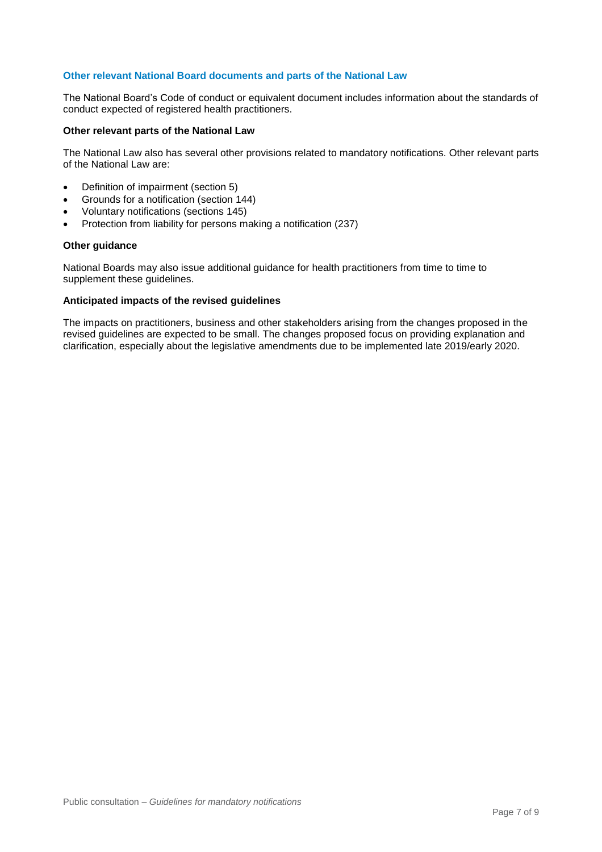## **Other relevant National Board documents and parts of the National Law**

The National Board's Code of conduct or equivalent document includes information about the standards of conduct expected of registered health practitioners.

#### **Other relevant parts of the National Law**

The National Law also has several other provisions related to mandatory notifications. Other relevant parts of the National Law are:

- Definition of impairment (section 5)
- Grounds for a notification (section 144)
- Voluntary notifications (sections 145)
- Protection from liability for persons making a notification (237)

#### **Other guidance**

National Boards may also issue additional guidance for health practitioners from time to time to supplement these guidelines.

#### **Anticipated impacts of the revised guidelines**

The impacts on practitioners, business and other stakeholders arising from the changes proposed in the revised guidelines are expected to be small. The changes proposed focus on providing explanation and clarification, especially about the legislative amendments due to be implemented late 2019/early 2020.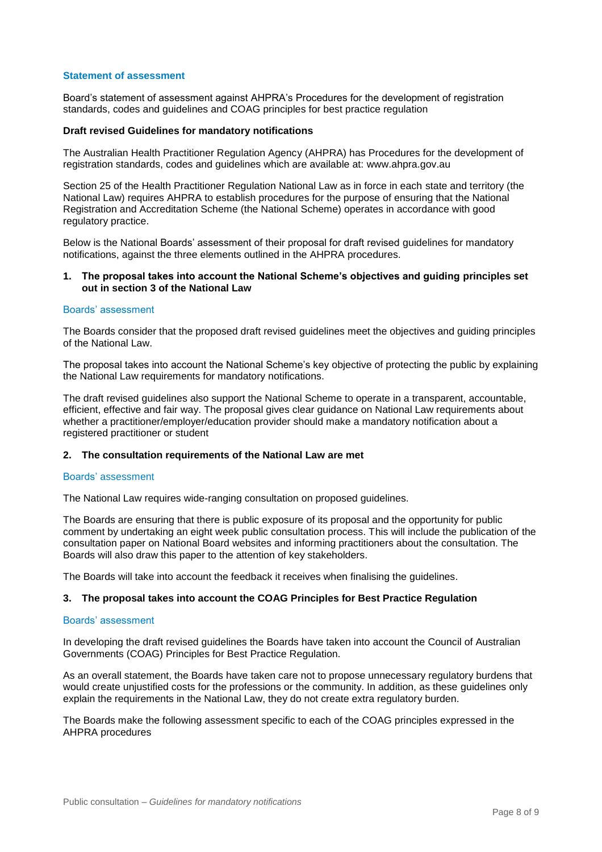## **Statement of assessment**

Board's statement of assessment against AHPRA's Procedures for the development of registration standards, codes and guidelines and COAG principles for best practice regulation

## **Draft revised Guidelines for mandatory notifications**

The Australian Health Practitioner Regulation Agency (AHPRA) has Procedures for the development of registration standards, codes and guidelines which are available at: [www.ahpra.gov.au](http://www.ahpra.gov.au/)

Section 25 of the Health Practitioner Regulation National Law as in force in each state and territory (the National Law) requires AHPRA to establish procedures for the purpose of ensuring that the National Registration and Accreditation Scheme (the National Scheme) operates in accordance with good regulatory practice.

Below is the National Boards' assessment of their proposal for draft revised guidelines for mandatory notifications, against the three elements outlined in the AHPRA procedures.

## **1. The proposal takes into account the National Scheme's objectives and guiding principles set out in section 3 of the National Law**

#### Boards' assessment

The Boards consider that the proposed draft revised guidelines meet the objectives and guiding principles of the National Law.

The proposal takes into account the National Scheme's key objective of protecting the public by explaining the National Law requirements for mandatory notifications.

The draft revised guidelines also support the National Scheme to operate in a transparent, accountable, efficient, effective and fair way. The proposal gives clear guidance on National Law requirements about whether a practitioner/employer/education provider should make a mandatory notification about a registered practitioner or student

## **2. The consultation requirements of the National Law are met**

#### Boards' assessment

The National Law requires wide-ranging consultation on proposed guidelines.

The Boards are ensuring that there is public exposure of its proposal and the opportunity for public comment by undertaking an eight week public consultation process. This will include the publication of the consultation paper on National Board websites and informing practitioners about the consultation. The Boards will also draw this paper to the attention of key stakeholders.

The Boards will take into account the feedback it receives when finalising the guidelines.

## **3. The proposal takes into account the COAG Principles for Best Practice Regulation**

#### Boards' assessment

In developing the draft revised guidelines the Boards have taken into account the Council of Australian Governments (COAG) Principles for Best Practice Regulation.

As an overall statement, the Boards have taken care not to propose unnecessary regulatory burdens that would create unjustified costs for the professions or the community. In addition, as these guidelines only explain the requirements in the National Law, they do not create extra regulatory burden.

The Boards make the following assessment specific to each of the COAG principles expressed in the AHPRA procedures